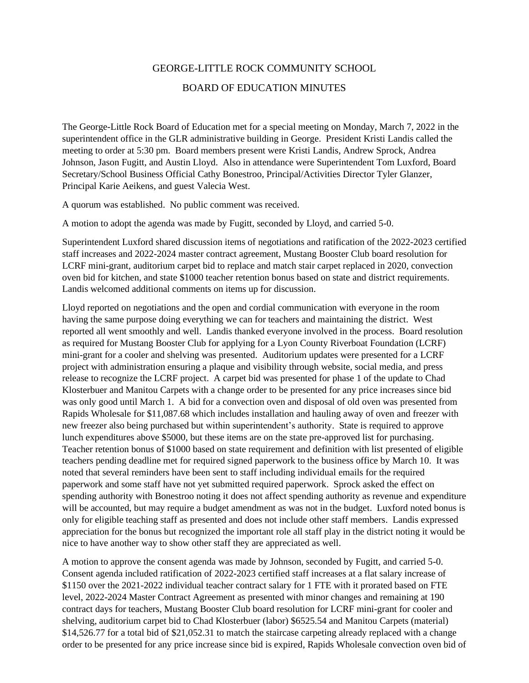## GEORGE-LITTLE ROCK COMMUNITY SCHOOL BOARD OF EDUCATION MINUTES

The George-Little Rock Board of Education met for a special meeting on Monday, March 7, 2022 in the superintendent office in the GLR administrative building in George. President Kristi Landis called the meeting to order at 5:30 pm. Board members present were Kristi Landis, Andrew Sprock, Andrea Johnson, Jason Fugitt, and Austin Lloyd. Also in attendance were Superintendent Tom Luxford, Board Secretary/School Business Official Cathy Bonestroo, Principal/Activities Director Tyler Glanzer, Principal Karie Aeikens, and guest Valecia West.

A quorum was established. No public comment was received.

A motion to adopt the agenda was made by Fugitt, seconded by Lloyd, and carried 5-0.

Superintendent Luxford shared discussion items of negotiations and ratification of the 2022-2023 certified staff increases and 2022-2024 master contract agreement, Mustang Booster Club board resolution for LCRF mini-grant, auditorium carpet bid to replace and match stair carpet replaced in 2020, convection oven bid for kitchen, and state \$1000 teacher retention bonus based on state and district requirements. Landis welcomed additional comments on items up for discussion.

Lloyd reported on negotiations and the open and cordial communication with everyone in the room having the same purpose doing everything we can for teachers and maintaining the district. West reported all went smoothly and well. Landis thanked everyone involved in the process. Board resolution as required for Mustang Booster Club for applying for a Lyon County Riverboat Foundation (LCRF) mini-grant for a cooler and shelving was presented. Auditorium updates were presented for a LCRF project with administration ensuring a plaque and visibility through website, social media, and press release to recognize the LCRF project. A carpet bid was presented for phase 1 of the update to Chad Klosterbuer and Manitou Carpets with a change order to be presented for any price increases since bid was only good until March 1. A bid for a convection oven and disposal of old oven was presented from Rapids Wholesale for \$11,087.68 which includes installation and hauling away of oven and freezer with new freezer also being purchased but within superintendent's authority. State is required to approve lunch expenditures above \$5000, but these items are on the state pre-approved list for purchasing. Teacher retention bonus of \$1000 based on state requirement and definition with list presented of eligible teachers pending deadline met for required signed paperwork to the business office by March 10. It was noted that several reminders have been sent to staff including individual emails for the required paperwork and some staff have not yet submitted required paperwork. Sprock asked the effect on spending authority with Bonestroo noting it does not affect spending authority as revenue and expenditure will be accounted, but may require a budget amendment as was not in the budget. Luxford noted bonus is only for eligible teaching staff as presented and does not include other staff members. Landis expressed appreciation for the bonus but recognized the important role all staff play in the district noting it would be nice to have another way to show other staff they are appreciated as well.

A motion to approve the consent agenda was made by Johnson, seconded by Fugitt, and carried 5-0. Consent agenda included ratification of 2022-2023 certified staff increases at a flat salary increase of \$1150 over the 2021-2022 individual teacher contract salary for 1 FTE with it prorated based on FTE level, 2022-2024 Master Contract Agreement as presented with minor changes and remaining at 190 contract days for teachers, Mustang Booster Club board resolution for LCRF mini-grant for cooler and shelving, auditorium carpet bid to Chad Klosterbuer (labor) \$6525.54 and Manitou Carpets (material) \$14,526.77 for a total bid of \$21,052.31 to match the staircase carpeting already replaced with a change order to be presented for any price increase since bid is expired, Rapids Wholesale convection oven bid of